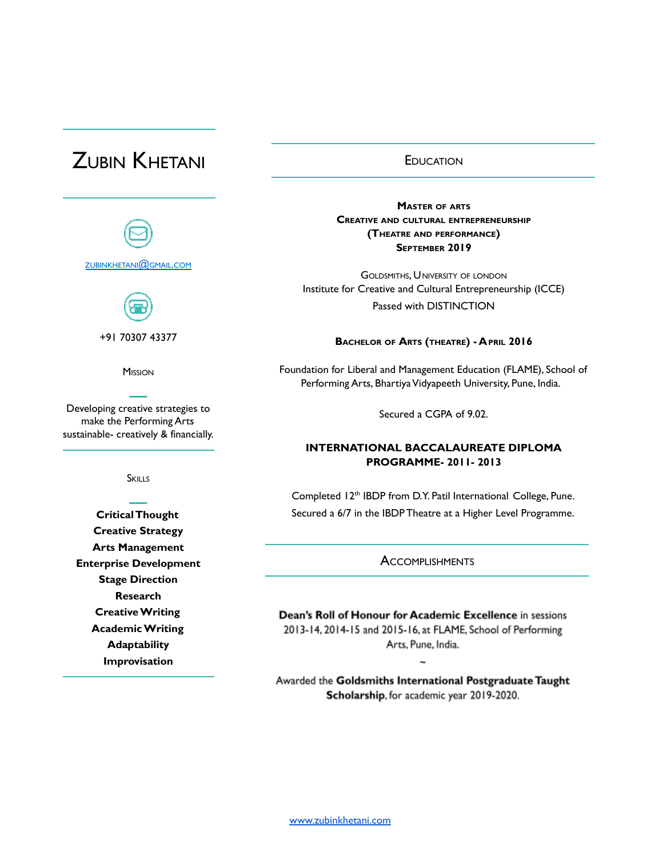# ZUBIN KHETANI



**SKILLS** 

**CriticalThought Creative Strategy Arts Management Enterprise Development Stage Direction Research CreativeWriting AcademicWriting Adaptability Improvisation**

### **EDUCATION**

**MASTER OF ARTS CREATIVE AND CULTURAL ENTREPRENEURSHIP (THEATRE AND PERFORMANCE) SEPTEMBER 2019**

GOLDSMITHS, UNIVERSITY OF LONDON Institute for Creative and Cultural Entrepreneurship (ICCE) Passed with DISTINCTION

#### **BACHELOR OF ARTS (THEATRE) - APRIL 2016**

Foundation for Liberal and Management Education (FLAME), School of Performing Arts, Bhartiya Vidyapeeth University, Pune, India.

Secured a CGPA of 9.02.

## **INTERNATIONAL BACCALAUREATE DIPLOMA PROGRAMME- 2011- 2013**

Completed 12<sup>th</sup> IBDP from D.Y. Patil International College, Pune. Secured a 6/7 in the IBDP Theatre at a Higher Level Programme.

**ACCOMPLISHMENTS** 

Dean's Roll of Honour for Academic Excellence in sessions 2013-14, 2014-15 and 2015-16, at FLAME, School of Performing Arts, Pune, India.

Awarded the Goldsmiths International Postgraduate Taught Scholarship, for academic year 2019-2020.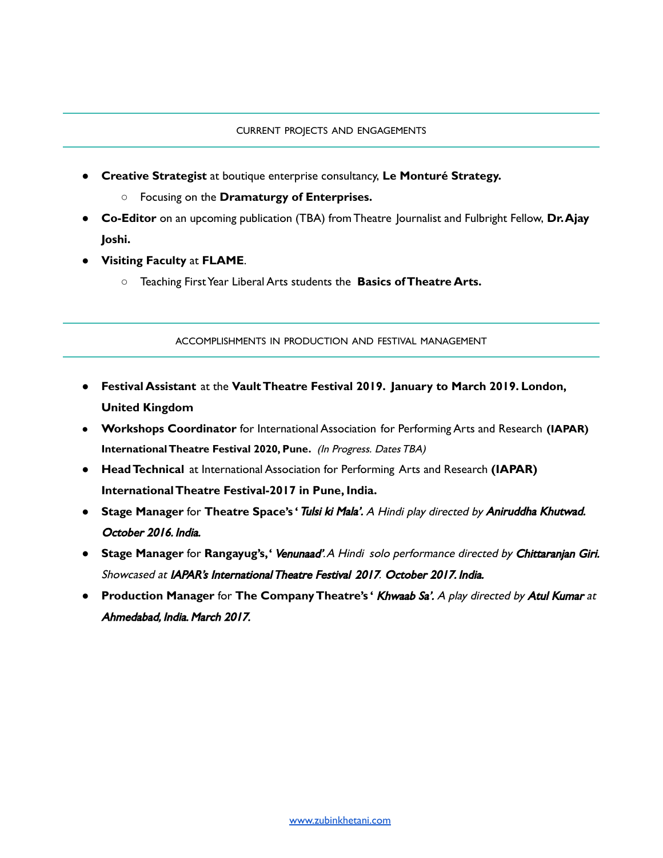- **Creative Strategist** at boutique enterprise consultancy, **Le Monturé Strategy.**
	- Focusing on the **Dramaturgy of Enterprises.**
- **● Co-Editor** on an upcoming publication (TBA) fromTheatre Journalist and Fulbright Fellow, **Dr.Ajay Joshi.**
- **● Visiting Faculty** at **FLAME**.
	- **○** Teaching FirstYear Liberal Arts students the **Basics ofTheatre Arts.**

ACCOMPLISHMENTS IN PRODUCTION AND FESTIVAL MANAGEMENT

- **Festival Assistant** at the **VaultTheatre Festival 2019. January to March 2019. London, United Kingdom**
- **Workshops Coordinator** for International Association for Performing Arts and Research **(IAPAR) InternationalTheatre Festival 2020, Pune.** (In Progress. DatesTBA)
- **HeadTechnical** at International Association for Performing Arts and Research **(IAPAR) InternationalTheatre Festival-2017 in Pune, India.**
- **Stage Manager** for **Theatre Space's '**Tulsi ki Mala'. <sup>A</sup> Hindi play directed by Aniruddha Khutwad. October 2016. India.
- **Stage Manager** for **Rangayug's,'** Venunaad'.A Hindi solo performance directed by Chittaranjan Giri. Showcased at IAPAR's InternationalTheatre Festival 2017. October 2017. India.
- **Production Manager** for **The CompanyTheatre's '** Khwaab Sa'. <sup>A</sup> play directed by Atul Kumar at Ahmedabad, India. March 2017.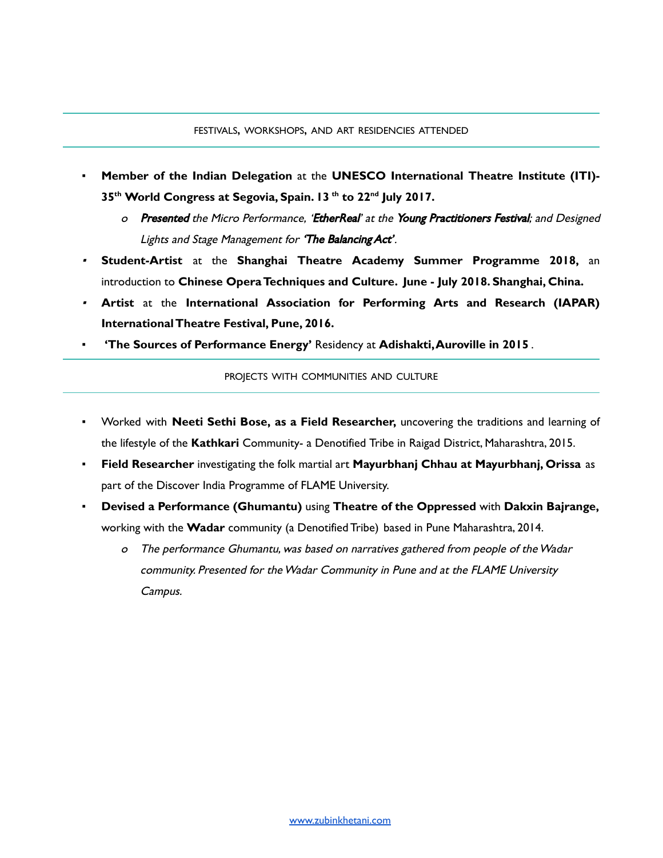- **Member of the Indian Delegation** at the **UNESCO International Theatre Institute (ITI)- 35 th World Congress at Segovia, Spain. 13 th to 22 nd July 2017.**
	- o Presented the Micro Performance, 'EtherReal' at the Young Practitioners Festival; and Designed Lights and Stage Management for 'The Balancing Act'.
- **Student-Artist** at the **Shanghai Theatre Academy Summer Programme 2018,** an introduction to **Chinese OperaTechniques and Culture. June - July 2018. Shanghai, China.**
- **Artist** at the **International Association for Performing Arts and Research (IAPAR) InternationalTheatre Festival, Pune, 2016.**
- **▪ 'The Sources of Performance Energy'** Residency at **Adishakti,Auroville in 2015** .

PROJECTS WITH COMMUNITIES AND CULTURE

- Worked with **Neeti Sethi Bose, as a Field Researcher,** uncovering the traditions and learning of the lifestyle of the **Kathkari** Community- a Denotified Tribe in Raigad District, Maharashtra, 2015.
- **Field Researcher** investigating the folk martial art **Mayurbhanj Chhau at Mayurbhanj, Orissa** as part of the Discover India Programme of FLAME University.
- **Devised a Performance (Ghumantu)** using **Theatre of the Oppressed** with **Dakxin Bajrange,** working with the **Wadar** community (a Denotified Tribe) based in Pune Maharashtra, 2014.
	- <sup>o</sup> The performance Ghumantu, was based on narratives gathered from people of theWadar community. Presented for theWadar Community in Pune and at the FLAME University Campus.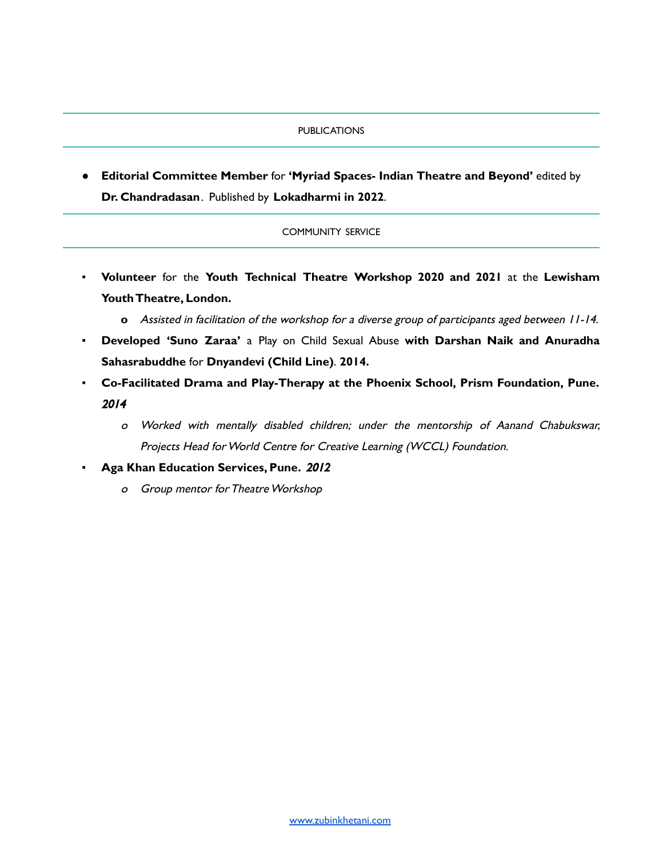#### PUBLICATIONS

● **Editorial Committee Member** for **'Myriad Spaces- Indian Theatre and Beyond'** edited by **Dr. Chandradasan**. Published by **Lokadharmi in 2022**.

#### COMMUNITY SERVICE

- **▪ Volunteer** for the **Youth Technical Theatre Workshop 2020 and 2021** at the **Lewisham YouthTheatre, London.**
	- **o** Assisted in facilitation of the workshop for <sup>a</sup> diverse group of participants aged between 11-14.
- **▪ Developed 'Suno Zaraa'** a Play on Child Sexual Abuse **with Darshan Naik and Anuradha Sahasrabuddhe** for **Dnyandevi (Child Line)**. **2014.**
- **▪ Co-Facilitated Drama and Play-Therapy at the Phoenix School, Prism Foundation, Pune.** 2014
	- <sup>o</sup> Worked with mentally disabled children; under the mentorship of Aanand Chabukswar, Projects Head for World Centre for Creative Learning (WCCL) Foundation.
- **Aga Khan Education Services, Pune.** 2012
	- o Group mentor for Theatre Workshop